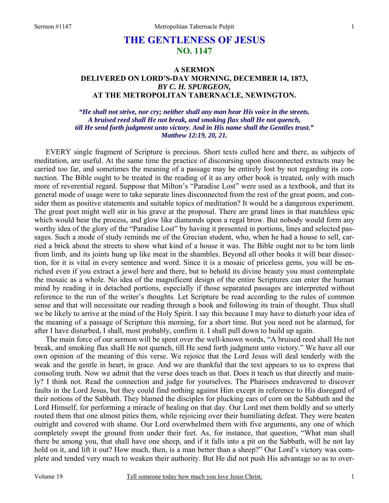# **THE GENTLENESS OF JESUS NO. 1147**

# **A SERMON DELIVERED ON LORD'S-DAY MORNING, DECEMBER 14, 1873,**  *BY C. H. SPURGEON,*  **AT THE METROPOLITAN TABERNACLE, NEWINGTON.**

*"He shall not strive, nor cry; neither shall any man hear His voice in the streets. A bruised reed shall He not break, and smoking flax shall He not quench, till He send forth judgment unto victory. And in His name shall the Gentiles trust." Matthew 12:19, 20, 21.* 

EVERY single fragment of Scripture is precious. Short texts culled here and there, as subjects of meditation, are useful. At the same time the practice of discoursing upon disconnected extracts may be carried too far, and sometimes the meaning of a passage may be entirely lost by not regarding its connection. The Bible ought to be treated in the reading of it as any other book is treated, only with much more of reverential regard. Suppose that Milton's "Paradise Lost" were used as a textbook, and that its general mode of usage were to take separate lines disconnected from the rest of the great poem, and consider them as positive statements and suitable topics of meditation? It would be a dangerous experiment. The great poet might well stir in his grave at the proposal. There are grand lines in that matchless epic which would bear the process, and glow like diamonds upon a regal brow. But nobody would form any worthy idea of the glory of the "Paradise Lost" by having it presented in portions, lines and selected passages. Such a mode of study reminds me of the Grecian student, who, when he had a house to sell, carried a brick about the streets to show what kind of a house it was. The Bible ought not to be torn limb from limb, and its joints hung up like meat in the shambles. Beyond all other books it will bear dissection, for it is vital in every sentence and word. Since it is a mosaic of priceless gems, you will be enriched even if you extract a jewel here and there, but to behold its divine beauty you must contemplate the mosaic as a whole. No idea of the magnificent design of the entire Scriptures can enter the human mind by reading it in detached portions, especially if those separated passages are interpreted without reference to the run of the writer's thoughts. Let Scripture be read according to the rules of common sense and that will necessitate our reading through a book and following its train of thought. Thus shall we be likely to arrive at the mind of the Holy Spirit. I say this because I may have to disturb your idea of the meaning of a passage of Scripture this morning, for a short time. But you need not be alarmed, for after I have disturbed, I shall, most probably, confirm it. I shall pull down to build up again.

The main force of our sermon will be spent over the well-known words, "A bruised reed shall He not break, and smoking flax shall He not quench, till He send forth judgment unto victory." We have all our own opinion of the meaning of this verse. We rejoice that the Lord Jesus will deal tenderly with the weak and the gentle in heart, in grace. And we are thankful that the text appears to us to express that consoling truth. Now we admit that the verse does teach us that. Does it teach us that directly and mainly? I think not. Read the connection and judge for yourselves. The Pharisees endeavored to discover faults in the Lord Jesus, but they could find nothing against Him except in reference to His disregard of their notions of the Sabbath. They blamed the disciples for plucking ears of corn on the Sabbath and the Lord Himself, for performing a miracle of healing on that day. Our Lord met them boldly and so utterly routed them that one almost pities them, while rejoicing over their humiliating defeat. They were beaten outright and covered with shame. Our Lord overwhelmed them with five arguments, any one of which completely swept the ground from under their feet. As, for instance, that question, "What man shall there be among you, that shall have one sheep, and if it falls into a pit on the Sabbath, will he not lay hold on it, and lift it out? How much, then, is a man better than a sheep?" Our Lord's victory was complete and tended very much to weaken their authority. But He did not push His advantage so as to over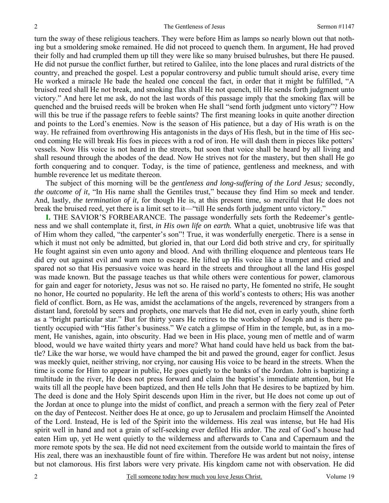turn the sway of these religious teachers. They were before Him as lamps so nearly blown out that nothing but a smoldering smoke remained. He did not proceed to quench them. In argument, He had proved their folly and had crumpled them up till they were like so many bruised bulrushes, but there He paused. He did not pursue the conflict further, but retired to Galilee, into the lone places and rural districts of the country, and preached the gospel. Lest a popular controversy and public tumult should arise, every time He worked a miracle He bade the healed one conceal the fact, in order that it might be fulfilled, "A bruised reed shall He not break, and smoking flax shall He not quench, till He sends forth judgment unto victory." And here let me ask, do not the last words of this passage imply that the smoking flax will be quenched and the bruised reeds will be broken when He shall "send forth judgment unto victory"? How will this be true if the passage refers to feeble saints? The first meaning looks in quite another direction and points to the Lord's enemies. Now is the season of His patience, but a day of His wrath is on the way. He refrained from overthrowing His antagonists in the days of His flesh, but in the time of His second coming He will break His foes in pieces with a rod of iron. He will dash them in pieces like potters' vessels. Now His voice is not heard in the streets, but soon that voice shall be heard by all living and shall resound through the abodes of the dead. Now He strives not for the mastery, but then shall He go forth conquering and to conquer. Today, is the time of patience, gentleness and meekness, and with humble reverence let us meditate thereon.

The subject of this morning will be the *gentleness and long-suffering of the Lord Jesus; s*econdly, *the outcome of it,* "In His name shall the Gentiles trust," because they find Him so meek and tender. And, lastly, *the termination of it,* for though He is, at this present time, so merciful that He does not break the bruised reed, yet there is a limit set to it—"till He sends forth judgment unto victory."

**I.** THE SAVIOR'S FORBEARANCE. The passage wonderfully sets forth the Redeemer's gentleness and we shall contemplate it, first, *in His own life on earth.* What a quiet, unobtrusive life was that of Him whom they called, "the carpenter's son"! True, it was wonderfully energetic. There is a sense in which it must not only be admitted, but gloried in, that our Lord did both strive and cry, for spiritually He fought against sin even unto agony and blood. And with thrilling eloquence and plenteous tears He did cry out against evil and warn men to escape. He lifted up His voice like a trumpet and cried and spared not so that His persuasive voice was heard in the streets and throughout all the land His gospel was made known. But the passage teaches us that while others were contentious for power, clamorous for gain and eager for notoriety, Jesus was not so. He raised no party, He fomented no strife, He sought no honor, He courted no popularity. He left the arena of this world's contests to others; His was another field of conflict. Born, as He was, amidst the acclamations of the angels, reverenced by strangers from a distant land, foretold by seers and prophets, one marvels that He did not, even in early youth, shine forth as a "bright particular star." But for thirty years He retires to the workshop of Joseph and is there patiently occupied with "His father's business." We catch a glimpse of Him in the temple, but, as in a moment, He vanishes, again, into obscurity. Had we been in His place, young men of mettle and of warm blood, would we have waited thirty years and more? What hand could have held us back from the battle? Like the war horse, we would have champed the bit and pawed the ground, eager for conflict. Jesus was meekly quiet, neither striving, nor crying, nor causing His voice to be heard in the streets. When the time is come for Him to appear in public, He goes quietly to the banks of the Jordan. John is baptizing a multitude in the river, He does not press forward and claim the baptist's immediate attention, but He waits till all the people have been baptized, and then He tells John that He desires to be baptized by him. The deed is done and the Holy Spirit descends upon Him in the river, but He does not come up out of the Jordan at once to plunge into the midst of conflict, and preach a sermon with the fiery zeal of Peter on the day of Pentecost. Neither does He at once, go up to Jerusalem and proclaim Himself the Anointed of the Lord. Instead, He is led of the Spirit into the wilderness. His zeal was intense, but He had His spirit well in hand and not a grain of self-seeking ever defiled His ardor. The zeal of God's house had eaten Him up, yet He went quietly to the wilderness and afterwards to Cana and Capernaum and the more remote spots by the sea. He did not need excitement from the outside world to maintain the fires of His zeal, there was an inexhaustible fount of fire within. Therefore He was ardent but not noisy, intense but not clamorous. His first labors were very private. His kingdom came not with observation. He did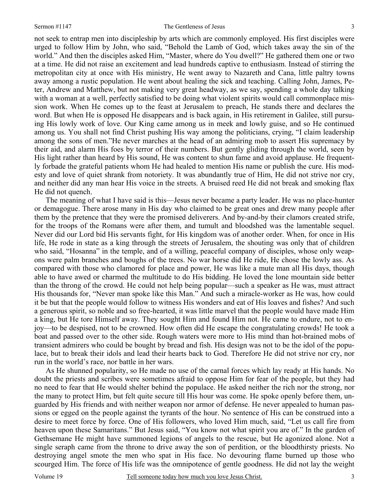#### Sermon #1147 The Gentleness of Jesus

not seek to entrap men into discipleship by arts which are commonly employed. His first disciples were urged to follow Him by John, who said, "Behold the Lamb of God, which takes away the sin of the world." And then the disciples asked Him, "Master, where do You dwell?" He gathered them one or two at a time. He did not raise an excitement and lead hundreds captive to enthusiasm. Instead of stirring the metropolitan city at once with His ministry, He went away to Nazareth and Cana, little paltry towns away among a rustic population. He went about healing the sick and teaching. Calling John, James, Peter, Andrew and Matthew, but not making very great headway, as we say, spending a whole day talking with a woman at a well, perfectly satisfied to be doing what violent spirits would call commonplace mission work. When He comes up to the feast at Jerusalem to preach, He stands there and declares the word. But when He is opposed He disappears and is back again, in His retirement in Galilee, still pursuing His lowly work of love. Our King came among us in meek and lowly guise, and so He continued among us. You shall not find Christ pushing His way among the politicians, crying, "I claim leadership among the sons of men."He never marches at the head of an admiring mob to assert His supremacy by their aid, and alarm His foes by terror of their numbers. But gently gliding through the world, seen by His light rather than heard by His sound, He was content to shun fame and avoid applause. He frequently forbade the grateful patients whom He had healed to mention His name or publish the cure. His modesty and love of quiet shrank from notoriety. It was abundantly true of Him, He did not strive nor cry, and neither did any man hear His voice in the streets. A bruised reed He did not break and smoking flax He did not quench.

The meaning of what I have said is this—Jesus never became a party leader. He was no place-hunter or demagogue. There arose many in His day who claimed to be great ones and drew many people after them by the pretence that they were the promised deliverers. And by-and-by their clamors created strife, for the troops of the Romans were after them, and tumult and bloodshed was the lamentable sequel. Never did our Lord bid His servants fight, for His kingdom was of another order. When, for once in His life, He rode in state as a king through the streets of Jerusalem, the shouting was only that of children who said, "Hosanna" in the temple, and of a willing, peaceful company of disciples, whose only weapons were palm branches and boughs of the trees. No war horse did He ride, He chose the lowly ass. As compared with those who clamored for place and power, He was like a mute man all His days, though able to have awed or charmed the multitude to do His bidding. He loved the lone mountain side better than the throng of the crowd. He could not help being popular—such a speaker as He was, must attract His thousands for, "Never man spoke like this Man." And such a miracle-worker as He was, how could it be but that the people would follow to witness His wonders and eat of His loaves and fishes? And such a generous spirit, so noble and so free-hearted, it was little marvel that the people would have made Him a king, but He tore Himself away. They sought Him and found Him not. He came to endure, not to enjoy—to be despised, not to be crowned. How often did He escape the congratulating crowds! He took a boat and passed over to the other side. Rough waters were more to His mind than hot-brained mobs of transient admirers who could be bought by bread and fish. His design was not to be the idol of the populace, but to break their idols and lead their hearts back to God. Therefore He did not strive nor cry, nor run in the world's race, nor battle in her wars.

As He shunned popularity, so He made no use of the carnal forces which lay ready at His hands. No doubt the priests and scribes were sometimes afraid to oppose Him for fear of the people, but they had no need to fear that He would shelter behind the populace. He asked neither the rich nor the strong, nor the many to protect Him, but felt quite secure till His hour was come. He spoke openly before them, unguarded by His friends and with neither weapon nor armor of defense. He never appealed to human passions or egged on the people against the tyrants of the hour. No sentence of His can be construed into a desire to meet force by force. One of His followers, who loved Him much, said, "Let us call fire from heaven upon these Samaritans." But Jesus said, "You know not what spirit you are of." In the garden of Gethsemane He might have summoned legions of angels to the rescue, but He agonized alone. Not a single seraph came from the throne to drive away the son of perdition, or the bloodthirsty priests. No destroying angel smote the men who spat in His face. No devouring flame burned up those who scourged Him. The force of His life was the omnipotence of gentle goodness. He did not lay the weight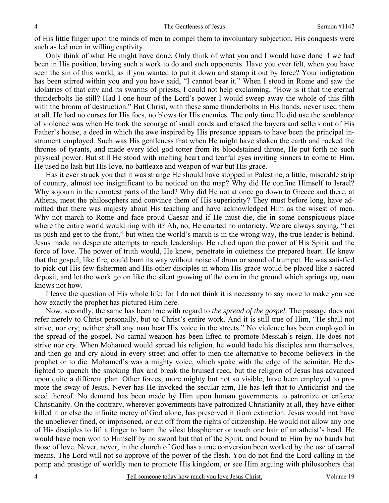of His little finger upon the minds of men to compel them to involuntary subjection. His conquests were such as led men in willing captivity.

Only think of what He might have done. Only think of what you and I would have done if we had been in His position, having such a work to do and such opponents. Have you ever felt, when you have seen the sin of this world, as if you wanted to put it down and stamp it out by force? Your indignation has been stirred within you and you have said, "I cannot bear it." When I stood in Rome and saw the idolatries of that city and its swarms of priests, I could not help exclaiming, "How is it that the eternal thunderbolts lie still? Had I one hour of the Lord's power I would sweep away the whole of this filth with the broom of destruction." But Christ, with these same thunderbolts in His hands, never used them at all. He had no curses for His foes, no blows for His enemies. The only time He did use the semblance of violence was when He took the scourge of small cords and chased the buyers and sellers out of His Father's house, a deed in which the awe inspired by His presence appears to have been the principal instrument employed. Such was His gentleness that when He might have shaken the earth and rocked the thrones of tyrants, and made every idol god totter from its bloodstained throne, He put forth no such physical power. But still He stood with melting heart and tearful eyes inviting sinners to come to Him. He used no lash but His love, no battleaxe and weapon of war but His grace.

Has it ever struck you that it was strange He should have stopped in Palestine, a little, miserable strip of country, almost too insignificant to be noticed on the map? Why did He confine Himself to Israel? Why sojourn in the remotest parts of the land? Why did He not at once go down to Greece and there, at Athens, meet the philosophers and convince them of His superiority? They must before long, have admitted that there was majesty about His teaching and have acknowledged Him as the wisest of men. Why not march to Rome and face proud Caesar and if He must die, die in some conspicuous place where the entire world would ring with it? Ah, no, He courted no notoriety. We are always saying, "Let us push and get to the front," but when the world's march is in the wrong way, the true leader is behind. Jesus made no desperate attempts to reach leadership. He relied upon the power of His Spirit and the force of love. The power of truth would, He knew, penetrate in quietness the prepared heart. He knew that the gospel, like fire, could burn its way without noise of drum or sound of trumpet. He was satisfied to pick out His few fishermen and His other disciples in whom His grace would be placed like a sacred deposit, and let the work go on like the silent growing of the corn in the ground which springs up, man knows not how.

I leave the question of His whole life; for I do not think it is necessary to say more to make you see how exactly the prophet has pictured Him here.

Now, secondly, the same has been true with regard to *the spread of the gospel.* The passage does not refer merely to Christ personally, but to Christ's entire work. And it is still true of Him, "He shall not strive, nor cry; neither shall any man hear His voice in the streets." No violence has been employed in the spread of the gospel. No carnal weapon has been lifted to promote Messiah's reign. He does not strive nor cry. When Mohamed would spread his religion, he would bade his disciples arm themselves, and then go and cry aloud in every street and offer to men the alternative to become believers in the prophet or to die. Mohamed's was a mighty voice, which spoke with the edge of the scimitar. He delighted to quench the smoking flax and break the bruised reed, but the religion of Jesus has advanced upon quite a different plan. Other forces, more mighty but not so visible, have been employed to promote the sway of Jesus. Never has He invoked the secular arm, He has left that to Antichrist and the seed thereof. No demand has been made by Him upon human governments to patronize or enforce Christianity. On the contrary, wherever governments have patronized Christianity at all, they have either killed it or else the infinite mercy of God alone, has preserved it from extinction. Jesus would not have the unbeliever fined, or imprisoned, or cut off from the rights of citizenship. He would not allow any one of His disciples to lift a finger to harm the vilest blasphemer or touch one hair of an atheist's head. He would have men won to Himself by no sword but that of the Spirit, and bound to Him by no bands but those of love. Never, never, in the church of God has a true conversion been worked by the use of carnal means. The Lord will not so approve of the power of the flesh. You do not find the Lord calling in the pomp and prestige of worldly men to promote His kingdom, or see Him arguing with philosophers that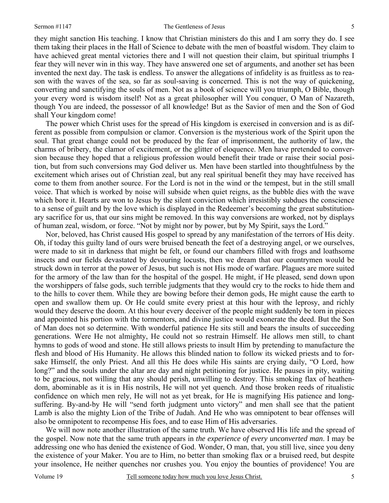have achieved great mental victories there and I will not question their claim, but spiritual triumphs I fear they will never win in this way. They have answered one set of arguments, and another set has been invented the next day. The task is endless. To answer the allegations of infidelity is as fruitless as to reason with the waves of the sea, so far as soul-saving is concerned. This is not the way of quickening, converting and sanctifying the souls of men. Not as a book of science will you triumph, O Bible, though your every word is wisdom itself! Not as a great philosopher will You conquer, O Man of Nazareth, though You are indeed, the possessor of all knowledge! But as the Savior of men and the Son of God shall Your kingdom come!

The power which Christ uses for the spread of His kingdom is exercised in conversion and is as different as possible from compulsion or clamor. Conversion is the mysterious work of the Spirit upon the soul. That great change could not be produced by the fear of imprisonment, the authority of law, the charms of bribery, the clamor of excitement, or the glitter of eloquence. Men have pretended to conversion because they hoped that a religious profession would benefit their trade or raise their social position, but from such conversions may God deliver us. Men have been startled into thoughtfulness by the excitement which arises out of Christian zeal, but any real spiritual benefit they may have received has come to them from another source. For the Lord is not in the wind or the tempest, but in the still small voice. That which is worked by noise will subside when quiet reigns, as the bubble dies with the wave which bore it. Hearts are won to Jesus by the silent conviction which irresistibly subdues the conscience to a sense of guilt and by the love which is displayed in the Redeemer's becoming the great substitutionary sacrifice for us, that our sins might be removed. In this way conversions are worked, not by displays of human zeal, wisdom, or force. "Not by might nor by power, but by My Spirit, says the Lord."

Nor, beloved, has Christ caused His gospel to spread by any manifestation of the terrors of His deity. Oh, if today this guilty land of ours were bruised beneath the feet of a destroying angel, or we ourselves, were made to sit in darkness that might be felt, or found our chambers filled with frogs and loathsome insects and our fields devastated by devouring locusts, then we dream that our countrymen would be struck down in terror at the power of Jesus, but such is not His mode of warfare. Plagues are more suited for the armory of the law than for the hospital of the gospel. He might, if He pleased, send down upon the worshippers of false gods, such terrible judgments that they would cry to the rocks to hide them and to the hills to cover them. While they are bowing before their demon gods, He might cause the earth to open and swallow them up. Or He could smite every priest at this hour with the leprosy, and richly would they deserve the doom. At this hour every deceiver of the people might suddenly be torn in pieces and appointed his portion with the tormentors, and divine justice would exonerate the deed. But the Son of Man does not so determine. With wonderful patience He sits still and bears the insults of succeeding generations. Were He not almighty, He could not so restrain Himself. He allows men still, to chant hymns to gods of wood and stone. He still allows priests to insult Him by pretending to manufacture the flesh and blood of His Humanity. He allows this blinded nation to follow its wicked priests and to forsake Himself, the only Priest. And all this He does while His saints are crying daily, "O Lord, how long?" and the souls under the altar are day and night petitioning for justice. He pauses in pity, waiting to be gracious, not willing that any should perish, unwilling to destroy. This smoking flax of heathendom, abominable as it is in His nostrils, He will not yet quench. And those broken reeds of ritualistic confidence on which men rely, He will not as yet break, for He is magnifying His patience and longsuffering. By-and-by He will "send forth judgment unto victory" and men shall see that the patient Lamb is also the mighty Lion of the Tribe of Judah. And He who was omnipotent to bear offenses will also be omnipotent to recompense His foes, and to ease Him of His adversaries.

We will now note another illustration of the same truth. We have observed His life and the spread of the gospel. Now note that the same truth appears in *the experience of every unconverted man*. I may be addressing one who has denied the existence of God. Wonder, O man, that, you still live, since you deny the existence of your Maker. You are to Him, no better than smoking flax or a bruised reed, but despite your insolence, He neither quenches nor crushes you. You enjoy the bounties of providence! You are

5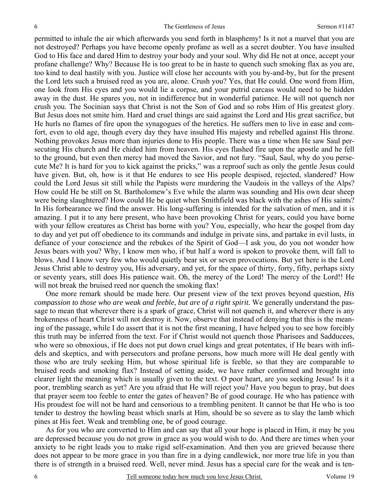permitted to inhale the air which afterwards you send forth in blasphemy! Is it not a marvel that you are not destroyed? Perhaps you have become openly profane as well as a secret doubter. You have insulted God to His face and dared Him to destroy your body and your soul. Why did He not at once, accept your profane challenge? Why? Because He is too great to be in haste to quench such smoking flax as you are, too kind to deal hastily with you. Justice will close her accounts with you by-and-by, but for the present the Lord lets such a bruised reed as you are, alone. Crush you? Yes, that He could. One word from Him, one look from His eyes and you would lie a corpse, and your putrid carcass would need to be hidden away in the dust. He spares you, not in indifference but in wonderful patience. He will not quench nor crush you. The Socinian says that Christ is not the Son of God and so robs Him of His greatest glory. But Jesus does not smite him. Hard and cruel things are said against the Lord and His great sacrifice, but He hurls no flames of fire upon the synagogues of the heretics. He suffers men to live in ease and comfort, even to old age, though every day they have insulted His majesty and rebelled against His throne. Nothing provokes Jesus more than injuries done to His people. There was a time when He saw Saul persecuting His church and He chided him from heaven. His eyes flashed fire upon the apostle and he fell to the ground, but even then mercy had moved the Savior, and not fury. "Saul, Saul, why do you persecute Me? It is hard for you to kick against the pricks," was a reproof such as only the gentle Jesus could have given. But, oh, how is it that He endures to see His people despised, rejected, slandered? How could the Lord Jesus sit still while the Papists were murdering the Vaudois in the valleys of the Alps? How could He be still on St. Bartholomew's Eve while the alarm was sounding and His own dear sheep were being slaughtered? How could He be quiet when Smithfield was black with the ashes of His saints? In His forbearance we find the answer. His long-suffering is intended for the salvation of men, and it is amazing. I put it to any here present, who have been provoking Christ for years, could you have borne with your fellow creatures as Christ has borne with you? You, especially, who hear the gospel from day to day and yet put off obedience to its commands and indulge in private sins, and partake in evil lusts, in defiance of your conscience and the rebukes of the Spirit of God—I ask you, do you not wonder how Jesus bears with you? Why, I know men who, if but half a word is spoken to provoke them, will fall to blows. And I know very few who would quietly bear six or seven provocations. But yet here is the Lord Jesus Christ able to destroy you, His adversary, and yet, for the space of thirty, forty, fifty, perhaps sixty or seventy years, still does His patience wait. Oh, the mercy of the Lord! The mercy of the Lord!! He will not break the bruised reed nor quench the smoking flax!

One more remark should be made here. Our present view of the text proves beyond question, *His compassion to those who are weak and feeble, but are of a right spirit.* We generally understand the passage to mean that wherever there is a spark of grace, Christ will not quench it, and wherever there is any brokenness of heart Christ will not destroy it. Now, observe that instead of denying that this is the meaning of the passage, while I do assert that it is not the first meaning, I have helped you to see how forcibly this truth may be inferred from the text. For if Christ would not quench those Pharisees and Sadducees, who were so obnoxious, if He does not put down cruel kings and great potentates, if He bears with infidels and skeptics, and with persecutors and profane persons, how much more will He deal gently with those who are truly seeking Him, but whose spiritual life is feeble, so that they are comparable to bruised reeds and smoking flax? Instead of setting aside, we have rather confirmed and brought into clearer light the meaning which is usually given to the text. O poor heart, are you seeking Jesus! Is it a poor, trembling search as yet? Are you afraid that He will reject you? Have you begun to pray, but does that prayer seem too feeble to enter the gates of heaven? Be of good courage. He who has patience with His proudest foe will not be hard and censorious to a trembling penitent. It cannot be that He who is too tender to destroy the howling beast which snarls at Him, should be so severe as to slay the lamb which pines at His feet. Weak and trembling one, be of good courage.

As for you who are converted to Him and can say that all your hope is placed in Him, it may be you are depressed because you do not grow in grace as you would wish to do. And there are times when your anxiety to be right leads you to make rigid self-examination. And then you are grieved because there does not appear to be more grace in you than fire in a dying candlewick, nor more true life in you than there is of strength in a bruised reed. Well, never mind. Jesus has a special care for the weak and is ten-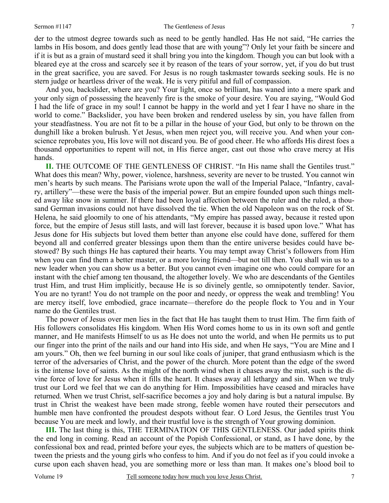#### Sermon #1147 The Gentleness of Jesus

der to the utmost degree towards such as need to be gently handled. Has He not said, "He carries the lambs in His bosom, and does gently lead those that are with young"? Only let your faith be sincere and if it is but as a grain of mustard seed it shall bring you into the kingdom. Though you can but look with a bleared eye at the cross and scarcely see it by reason of the tears of your sorrow, yet, if you do but trust in the great sacrifice, you are saved. For Jesus is no rough taskmaster towards seeking souls. He is no stern judge or heartless driver of the weak. He is very pitiful and full of compassion.

And you, backslider, where are you? Your light, once so brilliant, has waned into a mere spark and your only sign of possessing the heavenly fire is the smoke of your desire. You are saying, "Would God I had the life of grace in my soul! I cannot be happy in the world and yet I fear I have no share in the world to come." Backslider, you have been broken and rendered useless by sin, you have fallen from your steadfastness. You are not fit to be a pillar in the house of your God, but only to be thrown on the dunghill like a broken bulrush. Yet Jesus, when men reject you, will receive you. And when your conscience reprobates you, His love will not discard you. Be of good cheer. He who affords His direst foes a thousand opportunities to repent will not, in His fierce anger, cast out those who crave mercy at His hands.

**II.** THE OUTCOME OF THE GENTLENESS OF CHRIST. "In His name shall the Gentiles trust." What does this mean? Why, power, violence, harshness, severity are never to be trusted. You cannot win men's hearts by such means. The Parisians wrote upon the wall of the Imperial Palace, "Infantry, cavalry, artillery"—these were the basis of the imperial power. But an empire founded upon such things melted away like snow in summer. If there had been loyal affection between the ruler and the ruled, a thousand German invasions could not have dissolved the tie. When the old Napoleon was on the rock of St. Helena, he said gloomily to one of his attendants, "My empire has passed away, because it rested upon force, but the empire of Jesus still lasts, and will last forever, because it is based upon love." What has Jesus done for His subjects but loved them better than anyone else could have done, suffered for them beyond all and conferred greater blessings upon them than the entire universe besides could have bestowed? By such things He has captured their hearts. You may tempt away Christ's followers from Him when you can find them a better master, or a more loving friend—but not till then. You shall win us to a new leader when you can show us a better. But you cannot even imagine one who could compare for an instant with the chief among ten thousand, the altogether lovely. We who are descendants of the Gentiles trust Him, and trust Him implicitly, because He is so divinely gentle, so omnipotently tender. Savior, You are no tyrant! You do not trample on the poor and needy, or oppress the weak and trembling! You are mercy itself, love embodied, grace incarnate—therefore do the people flock to You and in Your name do the Gentiles trust.

The power of Jesus over men lies in the fact that He has taught them to trust Him. The firm faith of His followers consolidates His kingdom. When His Word comes home to us in its own soft and gentle manner, and He manifests Himself to us as He does not unto the world, and when He permits us to put our finger into the print of the nails and our hand into His side, and when He says, "You are Mine and I am yours." Oh, then we feel burning in our soul like coals of juniper, that grand enthusiasm which is the terror of the adversaries of Christ, and the power of the church. More potent than the edge of the sword is the intense love of saints. As the might of the north wind when it chases away the mist, such is the divine force of love for Jesus when it fills the heart. It chases away all lethargy and sin. When we truly trust our Lord we feel that we can do anything for Him. Impossibilities have ceased and miracles have returned. When we trust Christ, self-sacrifice becomes a joy and holy daring is but a natural impulse. By trust in Christ the weakest have been made strong, feeble women have routed their persecutors and humble men have confronted the proudest despots without fear. O Lord Jesus, the Gentiles trust You because You are meek and lowly, and their trustful love is the strength of Your growing dominion.

**III.** The last thing is this, THE TERMINATION OF THIS GENTLENESS. Our jaded spirits think the end long in coming. Read an account of the Popish Confessional, or stand, as I have done, by the confessional box and read, printed before your eyes, the subjects which are to be matters of question between the priests and the young girls who confess to him. And if you do not feel as if you could invoke a curse upon each shaven head, you are something more or less than man. It makes one's blood boil to